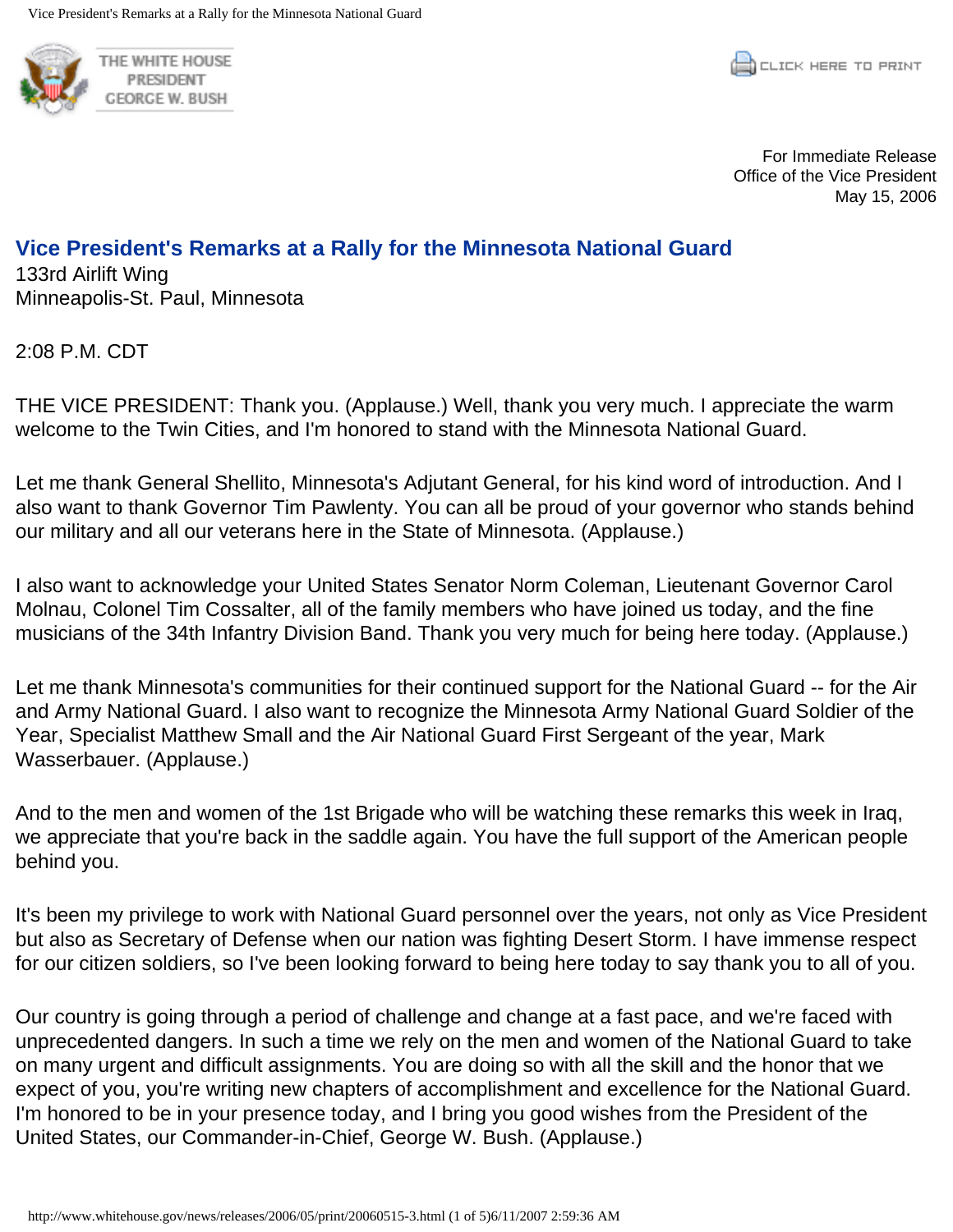

THE WHITE HOUSE PRESIDENT **GEORGE W. BUSH** 

For Immediate Release Office of the Vice President May 15, 2006

## **Vice President's Remarks at a Rally for the Minnesota National Guard**

133rd Airlift Wing Minneapolis-St. Paul, Minnesota

2:08 P.M. CDT

THE VICE PRESIDENT: Thank you. (Applause.) Well, thank you very much. I appreciate the warm welcome to the Twin Cities, and I'm honored to stand with the Minnesota National Guard.

Let me thank General Shellito, Minnesota's Adjutant General, for his kind word of introduction. And I also want to thank Governor Tim Pawlenty. You can all be proud of your governor who stands behind our military and all our veterans here in the State of Minnesota. (Applause.)

I also want to acknowledge your United States Senator Norm Coleman, Lieutenant Governor Carol Molnau, Colonel Tim Cossalter, all of the family members who have joined us today, and the fine musicians of the 34th Infantry Division Band. Thank you very much for being here today. (Applause.)

Let me thank Minnesota's communities for their continued support for the National Guard -- for the Air and Army National Guard. I also want to recognize the Minnesota Army National Guard Soldier of the Year, Specialist Matthew Small and the Air National Guard First Sergeant of the year, Mark Wasserbauer. (Applause.)

And to the men and women of the 1st Brigade who will be watching these remarks this week in Iraq, we appreciate that you're back in the saddle again. You have the full support of the American people behind you.

It's been my privilege to work with National Guard personnel over the years, not only as Vice President but also as Secretary of Defense when our nation was fighting Desert Storm. I have immense respect for our citizen soldiers, so I've been looking forward to being here today to say thank you to all of you.

Our country is going through a period of challenge and change at a fast pace, and we're faced with unprecedented dangers. In such a time we rely on the men and women of the National Guard to take on many urgent and difficult assignments. You are doing so with all the skill and the honor that we expect of you, you're writing new chapters of accomplishment and excellence for the National Guard. I'm honored to be in your presence today, and I bring you good wishes from the President of the United States, our Commander-in-Chief, George W. Bush. (Applause.)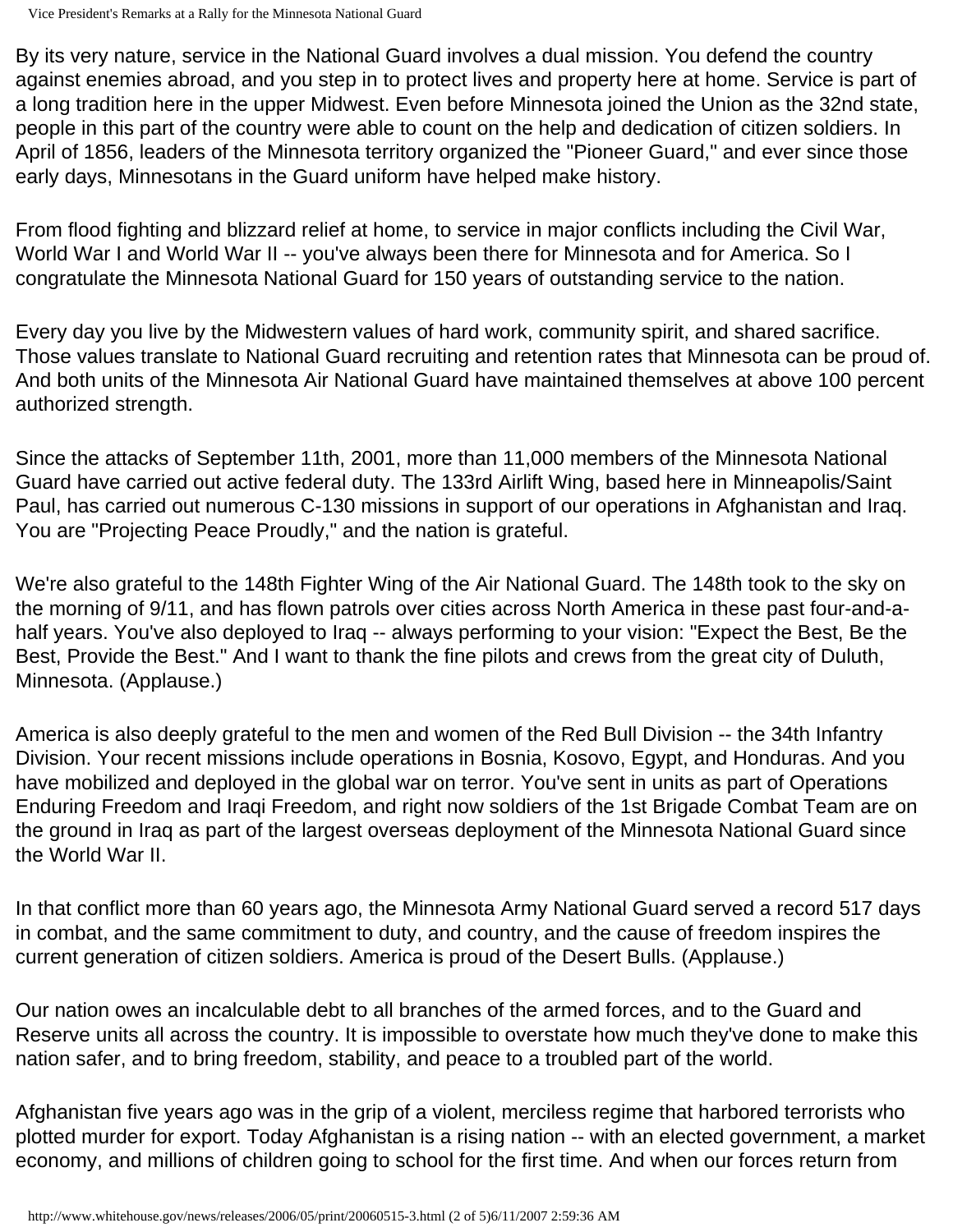By its very nature, service in the National Guard involves a dual mission. You defend the country against enemies abroad, and you step in to protect lives and property here at home. Service is part of a long tradition here in the upper Midwest. Even before Minnesota joined the Union as the 32nd state, people in this part of the country were able to count on the help and dedication of citizen soldiers. In April of 1856, leaders of the Minnesota territory organized the "Pioneer Guard," and ever since those early days, Minnesotans in the Guard uniform have helped make history.

From flood fighting and blizzard relief at home, to service in major conflicts including the Civil War, World War I and World War II -- you've always been there for Minnesota and for America. So I congratulate the Minnesota National Guard for 150 years of outstanding service to the nation.

Every day you live by the Midwestern values of hard work, community spirit, and shared sacrifice. Those values translate to National Guard recruiting and retention rates that Minnesota can be proud of. And both units of the Minnesota Air National Guard have maintained themselves at above 100 percent authorized strength.

Since the attacks of September 11th, 2001, more than 11,000 members of the Minnesota National Guard have carried out active federal duty. The 133rd Airlift Wing, based here in Minneapolis/Saint Paul, has carried out numerous C-130 missions in support of our operations in Afghanistan and Iraq. You are "Projecting Peace Proudly," and the nation is grateful.

We're also grateful to the 148th Fighter Wing of the Air National Guard. The 148th took to the sky on the morning of 9/11, and has flown patrols over cities across North America in these past four-and-ahalf years. You've also deployed to Iraq -- always performing to your vision: "Expect the Best, Be the Best, Provide the Best." And I want to thank the fine pilots and crews from the great city of Duluth, Minnesota. (Applause.)

America is also deeply grateful to the men and women of the Red Bull Division -- the 34th Infantry Division. Your recent missions include operations in Bosnia, Kosovo, Egypt, and Honduras. And you have mobilized and deployed in the global war on terror. You've sent in units as part of Operations Enduring Freedom and Iraqi Freedom, and right now soldiers of the 1st Brigade Combat Team are on the ground in Iraq as part of the largest overseas deployment of the Minnesota National Guard since the World War II.

In that conflict more than 60 years ago, the Minnesota Army National Guard served a record 517 days in combat, and the same commitment to duty, and country, and the cause of freedom inspires the current generation of citizen soldiers. America is proud of the Desert Bulls. (Applause.)

Our nation owes an incalculable debt to all branches of the armed forces, and to the Guard and Reserve units all across the country. It is impossible to overstate how much they've done to make this nation safer, and to bring freedom, stability, and peace to a troubled part of the world.

Afghanistan five years ago was in the grip of a violent, merciless regime that harbored terrorists who plotted murder for export. Today Afghanistan is a rising nation -- with an elected government, a market economy, and millions of children going to school for the first time. And when our forces return from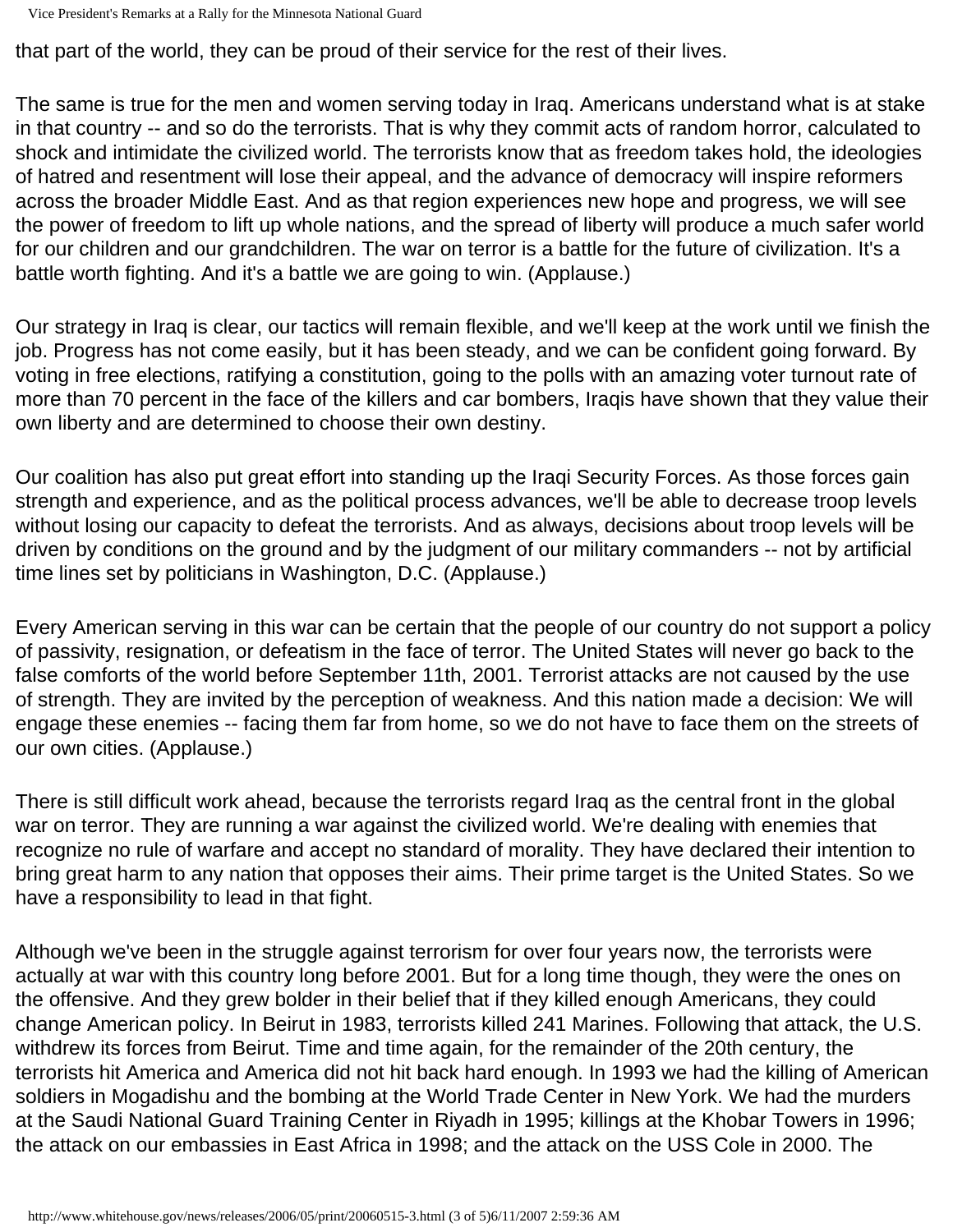Vice President's Remarks at a Rally for the Minnesota National Guard

that part of the world, they can be proud of their service for the rest of their lives.

The same is true for the men and women serving today in Iraq. Americans understand what is at stake in that country -- and so do the terrorists. That is why they commit acts of random horror, calculated to shock and intimidate the civilized world. The terrorists know that as freedom takes hold, the ideologies of hatred and resentment will lose their appeal, and the advance of democracy will inspire reformers across the broader Middle East. And as that region experiences new hope and progress, we will see the power of freedom to lift up whole nations, and the spread of liberty will produce a much safer world for our children and our grandchildren. The war on terror is a battle for the future of civilization. It's a battle worth fighting. And it's a battle we are going to win. (Applause.)

Our strategy in Iraq is clear, our tactics will remain flexible, and we'll keep at the work until we finish the job. Progress has not come easily, but it has been steady, and we can be confident going forward. By voting in free elections, ratifying a constitution, going to the polls with an amazing voter turnout rate of more than 70 percent in the face of the killers and car bombers, Iraqis have shown that they value their own liberty and are determined to choose their own destiny.

Our coalition has also put great effort into standing up the Iraqi Security Forces. As those forces gain strength and experience, and as the political process advances, we'll be able to decrease troop levels without losing our capacity to defeat the terrorists. And as always, decisions about troop levels will be driven by conditions on the ground and by the judgment of our military commanders -- not by artificial time lines set by politicians in Washington, D.C. (Applause.)

Every American serving in this war can be certain that the people of our country do not support a policy of passivity, resignation, or defeatism in the face of terror. The United States will never go back to the false comforts of the world before September 11th, 2001. Terrorist attacks are not caused by the use of strength. They are invited by the perception of weakness. And this nation made a decision: We will engage these enemies -- facing them far from home, so we do not have to face them on the streets of our own cities. (Applause.)

There is still difficult work ahead, because the terrorists regard Iraq as the central front in the global war on terror. They are running a war against the civilized world. We're dealing with enemies that recognize no rule of warfare and accept no standard of morality. They have declared their intention to bring great harm to any nation that opposes their aims. Their prime target is the United States. So we have a responsibility to lead in that fight.

Although we've been in the struggle against terrorism for over four years now, the terrorists were actually at war with this country long before 2001. But for a long time though, they were the ones on the offensive. And they grew bolder in their belief that if they killed enough Americans, they could change American policy. In Beirut in 1983, terrorists killed 241 Marines. Following that attack, the U.S. withdrew its forces from Beirut. Time and time again, for the remainder of the 20th century, the terrorists hit America and America did not hit back hard enough. In 1993 we had the killing of American soldiers in Mogadishu and the bombing at the World Trade Center in New York. We had the murders at the Saudi National Guard Training Center in Riyadh in 1995; killings at the Khobar Towers in 1996; the attack on our embassies in East Africa in 1998; and the attack on the USS Cole in 2000. The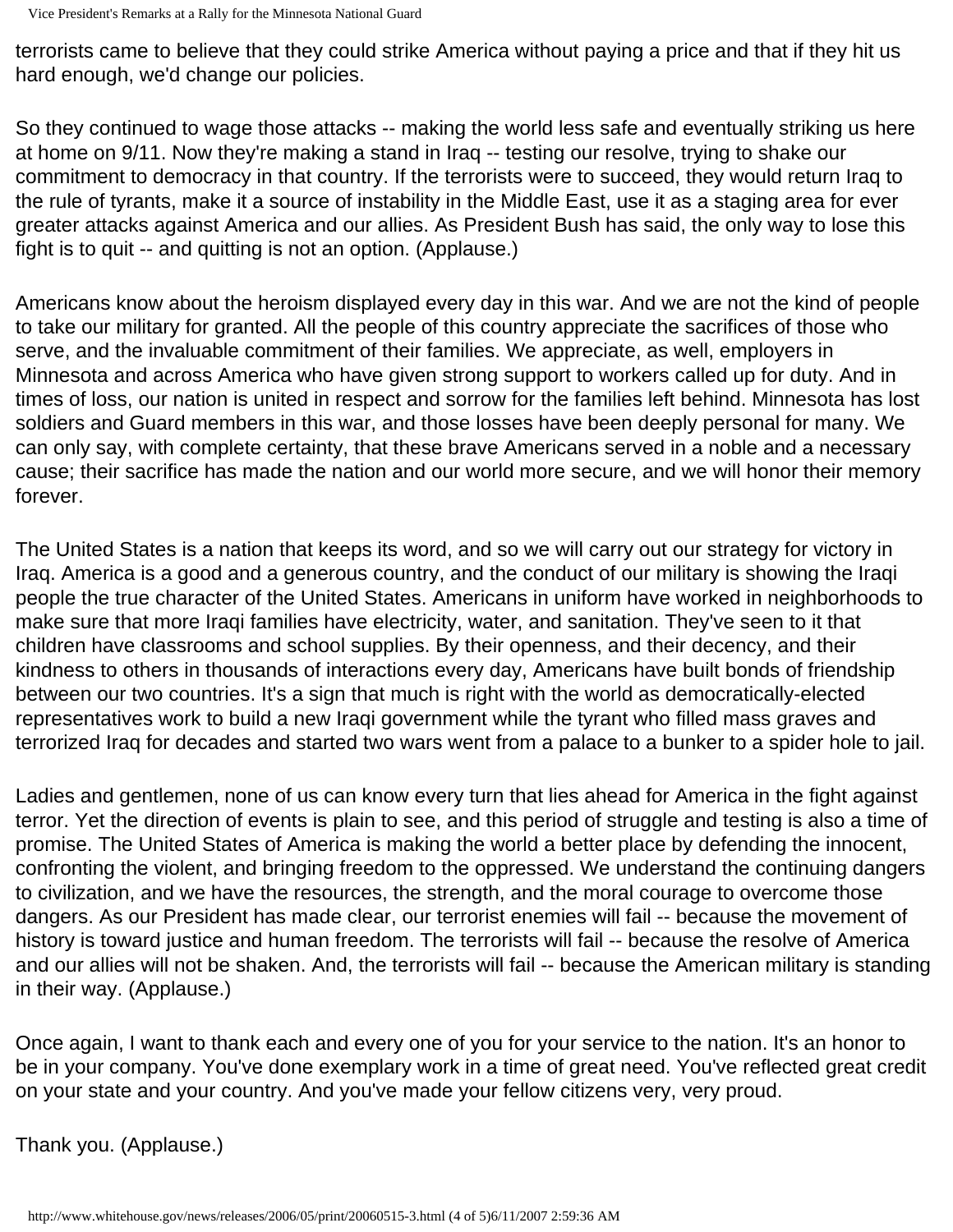terrorists came to believe that they could strike America without paying a price and that if they hit us hard enough, we'd change our policies.

So they continued to wage those attacks -- making the world less safe and eventually striking us here at home on 9/11. Now they're making a stand in Iraq -- testing our resolve, trying to shake our commitment to democracy in that country. If the terrorists were to succeed, they would return Iraq to the rule of tyrants, make it a source of instability in the Middle East, use it as a staging area for ever greater attacks against America and our allies. As President Bush has said, the only way to lose this fight is to quit -- and quitting is not an option. (Applause.)

Americans know about the heroism displayed every day in this war. And we are not the kind of people to take our military for granted. All the people of this country appreciate the sacrifices of those who serve, and the invaluable commitment of their families. We appreciate, as well, employers in Minnesota and across America who have given strong support to workers called up for duty. And in times of loss, our nation is united in respect and sorrow for the families left behind. Minnesota has lost soldiers and Guard members in this war, and those losses have been deeply personal for many. We can only say, with complete certainty, that these brave Americans served in a noble and a necessary cause; their sacrifice has made the nation and our world more secure, and we will honor their memory forever.

The United States is a nation that keeps its word, and so we will carry out our strategy for victory in Iraq. America is a good and a generous country, and the conduct of our military is showing the Iraqi people the true character of the United States. Americans in uniform have worked in neighborhoods to make sure that more Iraqi families have electricity, water, and sanitation. They've seen to it that children have classrooms and school supplies. By their openness, and their decency, and their kindness to others in thousands of interactions every day, Americans have built bonds of friendship between our two countries. It's a sign that much is right with the world as democratically-elected representatives work to build a new Iraqi government while the tyrant who filled mass graves and terrorized Iraq for decades and started two wars went from a palace to a bunker to a spider hole to jail.

Ladies and gentlemen, none of us can know every turn that lies ahead for America in the fight against terror. Yet the direction of events is plain to see, and this period of struggle and testing is also a time of promise. The United States of America is making the world a better place by defending the innocent, confronting the violent, and bringing freedom to the oppressed. We understand the continuing dangers to civilization, and we have the resources, the strength, and the moral courage to overcome those dangers. As our President has made clear, our terrorist enemies will fail -- because the movement of history is toward justice and human freedom. The terrorists will fail -- because the resolve of America and our allies will not be shaken. And, the terrorists will fail -- because the American military is standing in their way. (Applause.)

Once again, I want to thank each and every one of you for your service to the nation. It's an honor to be in your company. You've done exemplary work in a time of great need. You've reflected great credit on your state and your country. And you've made your fellow citizens very, very proud.

Thank you. (Applause.)